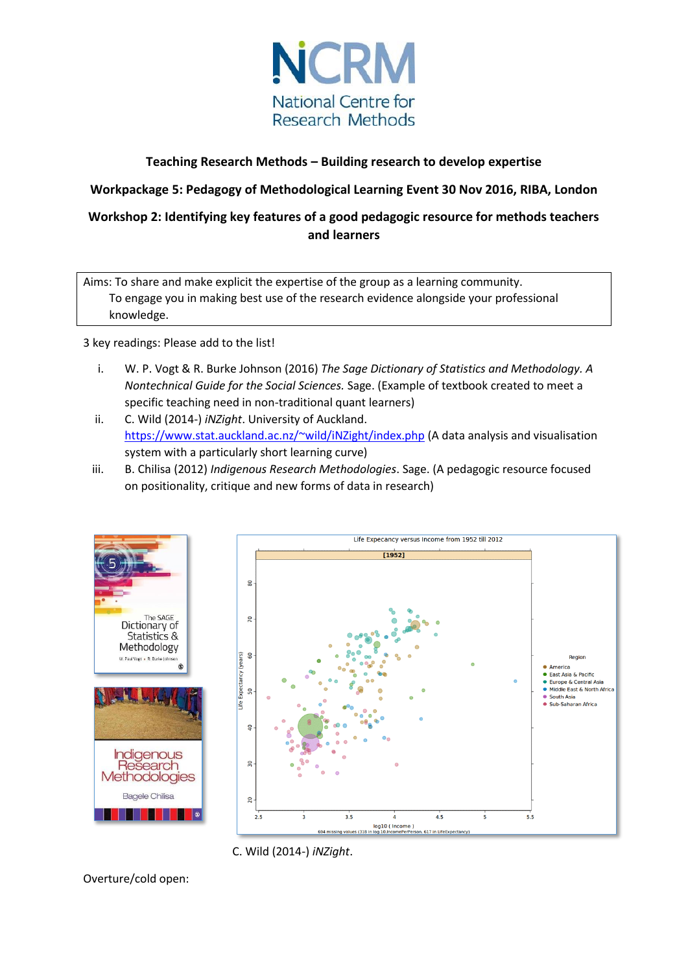

# **Teaching Research Methods – Building research to develop expertise**

**Workpackage 5: Pedagogy of Methodological Learning Event 30 Nov 2016, RIBA, London**

**Workshop 2: Identifying key features of a good pedagogic resource for methods teachers and learners**

Aims: To share and make explicit the expertise of the group as a learning community. To engage you in making best use of the research evidence alongside your professional knowledge.

3 key readings: Please add to the list!

- i. W. P. Vogt & R. Burke Johnson (2016) *The Sage Dictionary of Statistics and Methodology. A Nontechnical Guide for the Social Sciences.* Sage. (Example of textbook created to meet a specific teaching need in non-traditional quant learners)
- ii. C. Wild (2014-) *iNZight*. University of Auckland. <https://www.stat.auckland.ac.nz/~wild/iNZight/index.php> (A data analysis and visualisation system with a particularly short learning curve)
- iii. B. Chilisa (2012) *Indigenous Research Methodologies*. Sage. (A pedagogic resource focused on positionality, critique and new forms of data in research)



C. Wild (2014-) *iNZight*.

Overture/cold open: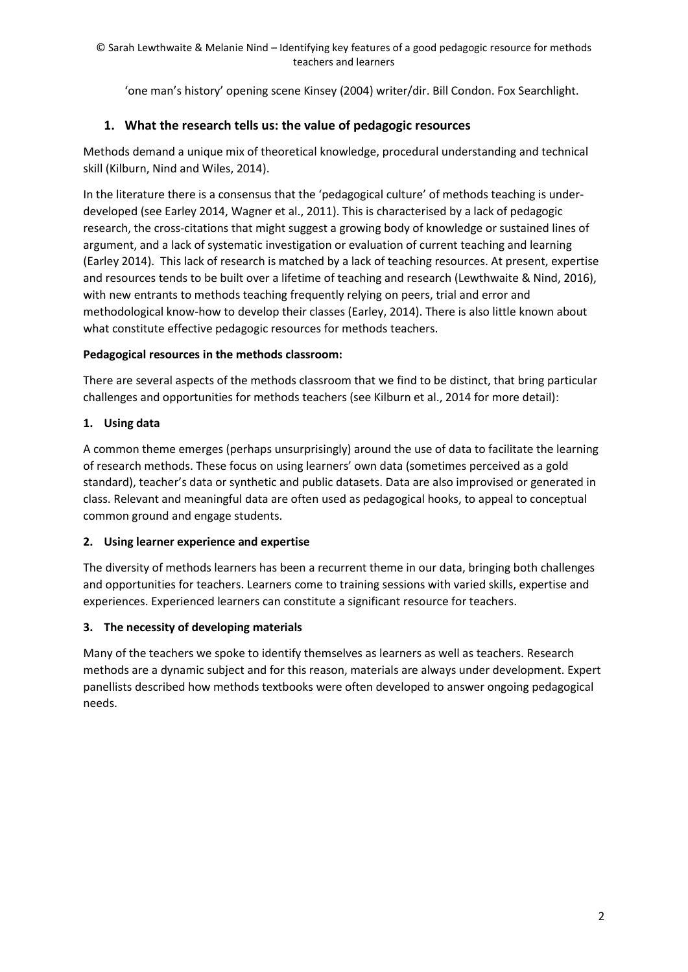'one man's history' opening scene Kinsey (2004) writer/dir. Bill Condon. Fox Searchlight.

# **1. What the research tells us: the value of pedagogic resources**

Methods demand a unique mix of theoretical knowledge, procedural understanding and technical skill (Kilburn, Nind and Wiles, 2014).

In the literature there is a consensus that the 'pedagogical culture' of methods teaching is underdeveloped (see Earley 2014, Wagner et al., 2011). This is characterised by a lack of pedagogic research, the cross-citations that might suggest a growing body of knowledge or sustained lines of argument, and a lack of systematic investigation or evaluation of current teaching and learning (Earley 2014). This lack of research is matched by a lack of teaching resources. At present, expertise and resources tends to be built over a lifetime of teaching and research (Lewthwaite & Nind, 2016), with new entrants to methods teaching frequently relying on peers, trial and error and methodological know-how to develop their classes (Earley, 2014). There is also little known about what constitute effective pedagogic resources for methods teachers.

# **Pedagogical resources in the methods classroom:**

There are several aspects of the methods classroom that we find to be distinct, that bring particular challenges and opportunities for methods teachers (see Kilburn et al., 2014 for more detail):

# **1. Using data**

A common theme emerges (perhaps unsurprisingly) around the use of data to facilitate the learning of research methods. These focus on using learners' own data (sometimes perceived as a gold standard), teacher's data or synthetic and public datasets. Data are also improvised or generated in class. Relevant and meaningful data are often used as pedagogical hooks, to appeal to conceptual common ground and engage students.

# **2. Using learner experience and expertise**

The diversity of methods learners has been a recurrent theme in our data, bringing both challenges and opportunities for teachers. Learners come to training sessions with varied skills, expertise and experiences. Experienced learners can constitute a significant resource for teachers.

# **3. The necessity of developing materials**

Many of the teachers we spoke to identify themselves as learners as well as teachers. Research methods are a dynamic subject and for this reason, materials are always under development. Expert panellists described how methods textbooks were often developed to answer ongoing pedagogical needs.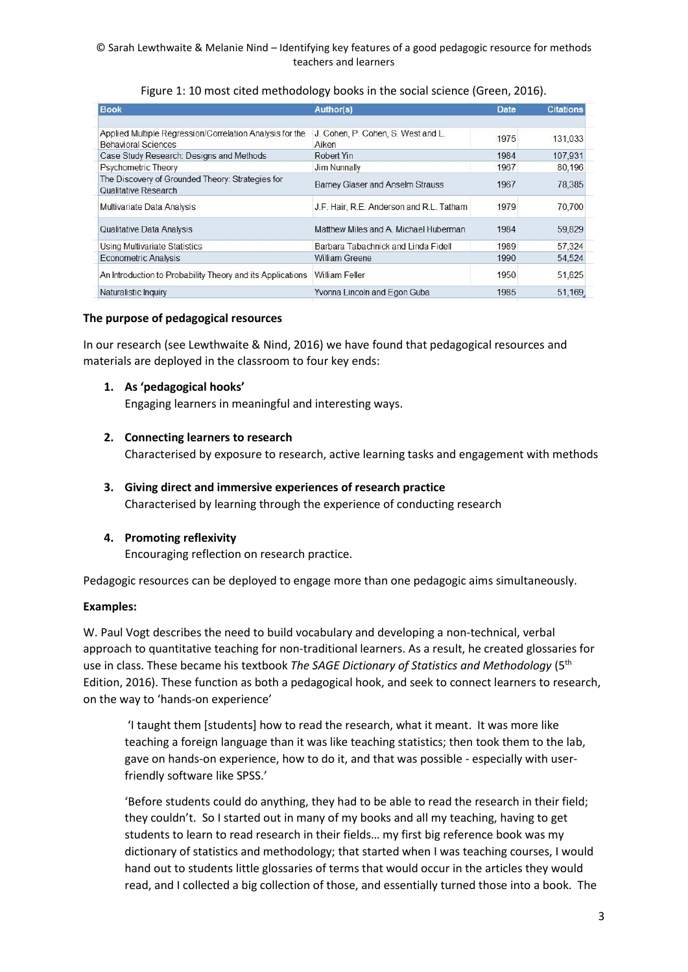#### © Sarah Lewthwaite & Melanie Nind – Identifying key features of a good pedagogic resource for methods teachers and learners

| <b>Book</b>                                                                                                  | Author(s)                                   | <b>Date</b> | <b>Citations</b> |
|--------------------------------------------------------------------------------------------------------------|---------------------------------------------|-------------|------------------|
|                                                                                                              |                                             |             |                  |
| Applied Multiple Regression/Correlation Analysis for the<br><b>Behavioral Sciences</b>                       | J. Cohen, P. Cohen, S. West and L.<br>Aiken | 1975        | 131,033          |
| Case Study Research: Designs and Methods                                                                     | Robert Yin                                  | 1984        | 107,931          |
| <b>Psychometric Theory</b>                                                                                   | <b>Jim Nunnally</b>                         | 1967        | 80,196           |
| The Discovery of Grounded Theory: Strategies for<br>Barney Glaser and Anselm Strauss<br>Qualitative Research |                                             | 1967        | 78,385           |
| Multivariate Data Analysis                                                                                   | J.F. Hair, R.E. Anderson and R.L. Tatham    |             | 70,700           |
| Matthew Miles and A. Michael Huberman<br><b>Qualitative Data Analysis</b>                                    |                                             | 1984        | 59,829           |
| Using Multivariate Statistics                                                                                | Barbara Tabachnick and Linda Fidell         | 1989        | 57.324           |
| <b>Econometric Analysis</b>                                                                                  | <b>William Greene</b>                       | 1990        | 54.524           |
| An Introduction to Probability Theory and its Applications<br><b>William Feller</b>                          |                                             | 1950        | 51,825           |
| Naturalistic Inquiry                                                                                         | Yvonna Lincoln and Egon Guba                | 1985        | 51,169           |

## Figure 1: 10 most cited methodology books in the social science (Green, 2016).

## **The purpose of pedagogical resources**

In our research (see Lewthwaite & Nind, 2016) we have found that pedagogical resources and materials are deployed in the classroom to four key ends:

## **1. As 'pedagogical hooks'**

Engaging learners in meaningful and interesting ways.

#### **2. Connecting learners to research**

Characterised by exposure to research, active learning tasks and engagement with methods

- **3. Giving direct and immersive experiences of research practice** Characterised by learning through the experience of conducting research
- **4. Promoting reflexivity**

Encouraging reflection on research practice.

Pedagogic resources can be deployed to engage more than one pedagogic aims simultaneously.

## **Examples:**

W. Paul Vogt describes the need to build vocabulary and developing a non-technical, verbal approach to quantitative teaching for non-traditional learners. As a result, he created glossaries for use in class. These became his textbook *The SAGE Dictionary of Statistics and Methodology* (5th Edition, 2016). These function as both a pedagogical hook, and seek to connect learners to research, on the way to 'hands-on experience'

'I taught them [students] how to read the research, what it meant. It was more like teaching a foreign language than it was like teaching statistics; then took them to the lab, gave on hands-on experience, how to do it, and that was possible - especially with userfriendly software like SPSS.'

'Before students could do anything, they had to be able to read the research in their field; they couldn't. So I started out in many of my books and all my teaching, having to get students to learn to read research in their fields… my first big reference book was my dictionary of statistics and methodology; that started when I was teaching courses, I would hand out to students little glossaries of terms that would occur in the articles they would read, and I collected a big collection of those, and essentially turned those into a book. The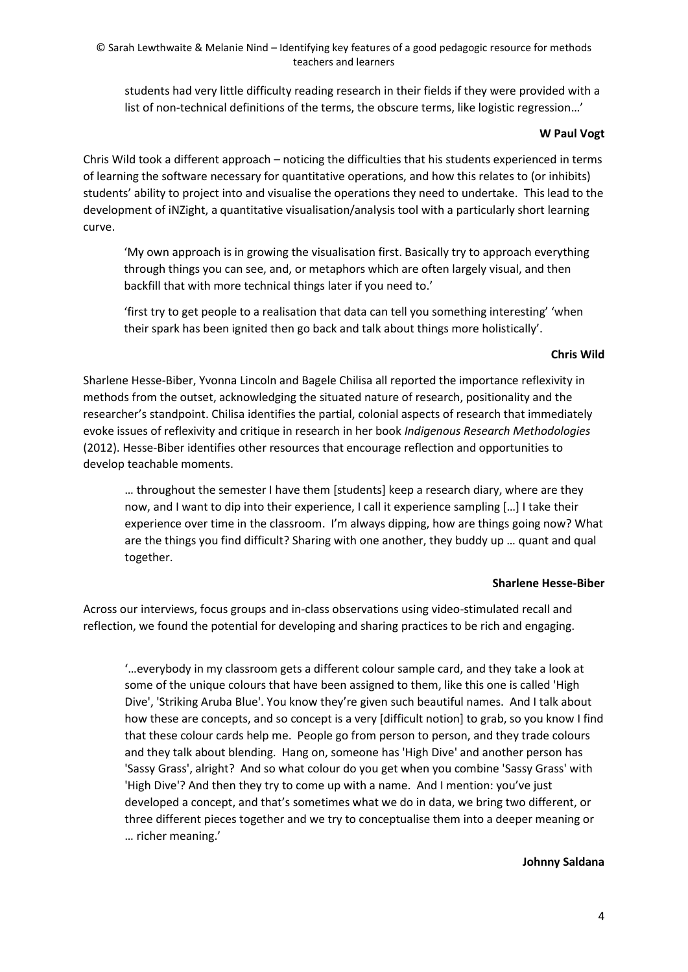© Sarah Lewthwaite & Melanie Nind – Identifying key features of a good pedagogic resource for methods teachers and learners

students had very little difficulty reading research in their fields if they were provided with a list of non-technical definitions of the terms, the obscure terms, like logistic regression…'

### **W Paul Vogt**

Chris Wild took a different approach – noticing the difficulties that his students experienced in terms of learning the software necessary for quantitative operations, and how this relates to (or inhibits) students' ability to project into and visualise the operations they need to undertake. This lead to the development of iNZight, a quantitative visualisation/analysis tool with a particularly short learning curve.

'My own approach is in growing the visualisation first. Basically try to approach everything through things you can see, and, or metaphors which are often largely visual, and then backfill that with more technical things later if you need to.'

'first try to get people to a realisation that data can tell you something interesting' 'when their spark has been ignited then go back and talk about things more holistically'.

#### **Chris Wild**

Sharlene Hesse-Biber, Yvonna Lincoln and Bagele Chilisa all reported the importance reflexivity in methods from the outset, acknowledging the situated nature of research, positionality and the researcher's standpoint. Chilisa identifies the partial, colonial aspects of research that immediately evoke issues of reflexivity and critique in research in her book *Indigenous Research Methodologies*  (2012). Hesse-Biber identifies other resources that encourage reflection and opportunities to develop teachable moments.

… throughout the semester I have them [students] keep a research diary, where are they now, and I want to dip into their experience, I call it experience sampling […] I take their experience over time in the classroom. I'm always dipping, how are things going now? What are the things you find difficult? Sharing with one another, they buddy up … quant and qual together.

#### **Sharlene Hesse-Biber**

Across our interviews, focus groups and in-class observations using video-stimulated recall and reflection, we found the potential for developing and sharing practices to be rich and engaging.

'…everybody in my classroom gets a different colour sample card, and they take a look at some of the unique colours that have been assigned to them, like this one is called 'High Dive', 'Striking Aruba Blue'. You know they're given such beautiful names. And I talk about how these are concepts, and so concept is a very [difficult notion] to grab, so you know I find that these colour cards help me. People go from person to person, and they trade colours and they talk about blending. Hang on, someone has 'High Dive' and another person has 'Sassy Grass', alright? And so what colour do you get when you combine 'Sassy Grass' with 'High Dive'? And then they try to come up with a name. And I mention: you've just developed a concept, and that's sometimes what we do in data, we bring two different, or three different pieces together and we try to conceptualise them into a deeper meaning or … richer meaning.'

## **Johnny Saldana**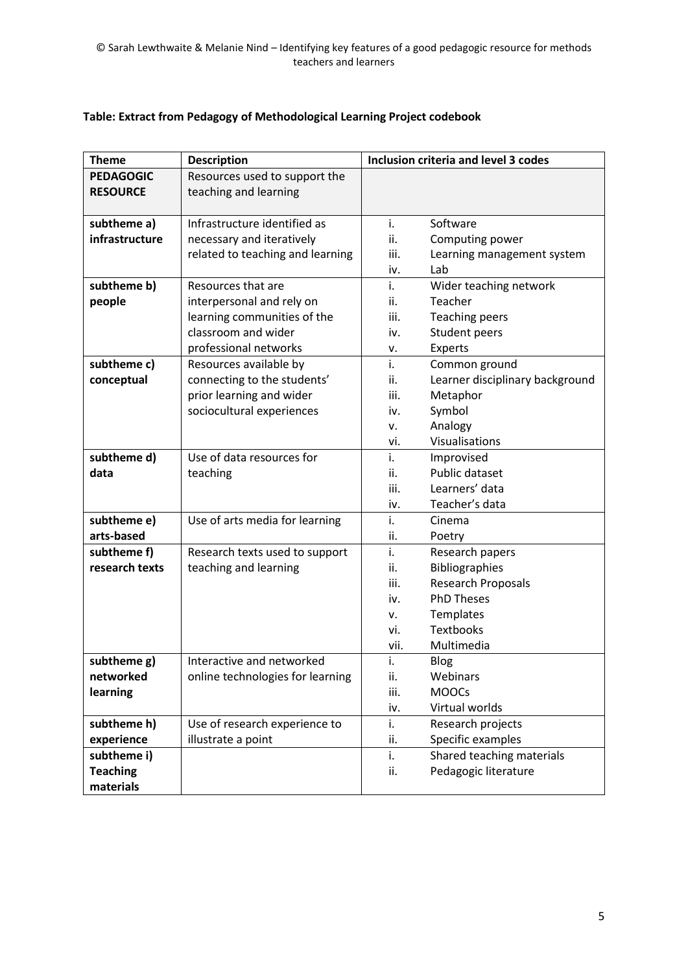| <b>Theme</b>     | <b>Description</b>               |      | Inclusion criteria and level 3 codes |  |
|------------------|----------------------------------|------|--------------------------------------|--|
| <b>PEDAGOGIC</b> | Resources used to support the    |      |                                      |  |
| <b>RESOURCE</b>  | teaching and learning            |      |                                      |  |
|                  |                                  |      |                                      |  |
| subtheme a)      | Infrastructure identified as     | i.   | Software                             |  |
| infrastructure   | necessary and iteratively        | ii.  | Computing power                      |  |
|                  | related to teaching and learning | iii. | Learning management system           |  |
|                  |                                  | iv.  | Lab                                  |  |
| subtheme b)      | Resources that are               | i.   | Wider teaching network               |  |
| people           | interpersonal and rely on        | ii.  | Teacher                              |  |
|                  | learning communities of the      | iii. | <b>Teaching peers</b>                |  |
|                  | classroom and wider              | iv.  | Student peers                        |  |
|                  | professional networks            | ν.   | Experts                              |  |
| subtheme c)      | Resources available by           | i.   | Common ground                        |  |
| conceptual       | connecting to the students'      | ii.  | Learner disciplinary background      |  |
|                  | prior learning and wider         | iii. | Metaphor                             |  |
|                  | sociocultural experiences        | iv.  | Symbol                               |  |
|                  |                                  | ٧.   | Analogy                              |  |
|                  |                                  | vi.  | Visualisations                       |  |
| subtheme d)      | Use of data resources for        | i.   | Improvised                           |  |
| data             | teaching                         | ii.  | Public dataset                       |  |
|                  |                                  | iii. | Learners' data                       |  |
|                  |                                  | iv.  | Teacher's data                       |  |
| subtheme e)      | Use of arts media for learning   | i.   | Cinema                               |  |
| arts-based       |                                  | ii.  | Poetry                               |  |
| subtheme f)      | Research texts used to support   | i.   | Research papers                      |  |
| research texts   | teaching and learning            | ii.  | Bibliographies                       |  |
|                  |                                  | iii. | <b>Research Proposals</b>            |  |
|                  |                                  | iv.  | <b>PhD Theses</b>                    |  |
|                  |                                  | v.   | Templates                            |  |
|                  |                                  | vi.  | <b>Textbooks</b>                     |  |
|                  |                                  | vii. | Multimedia                           |  |
| subtheme g)      | Interactive and networked        | i.   | Blog                                 |  |
| networked        | online technologies for learning | ii.  | Webinars                             |  |
| learning         |                                  | iii. | <b>MOOCs</b>                         |  |
|                  |                                  | iv.  | Virtual worlds                       |  |
| subtheme h)      | Use of research experience to    | i.   | Research projects                    |  |
| experience       | illustrate a point               | ii.  | Specific examples                    |  |
| subtheme i)      |                                  | i.   | Shared teaching materials            |  |
| <b>Teaching</b>  |                                  | ii.  | Pedagogic literature                 |  |
| materials        |                                  |      |                                      |  |

# **Table: Extract from Pedagogy of Methodological Learning Project codebook**